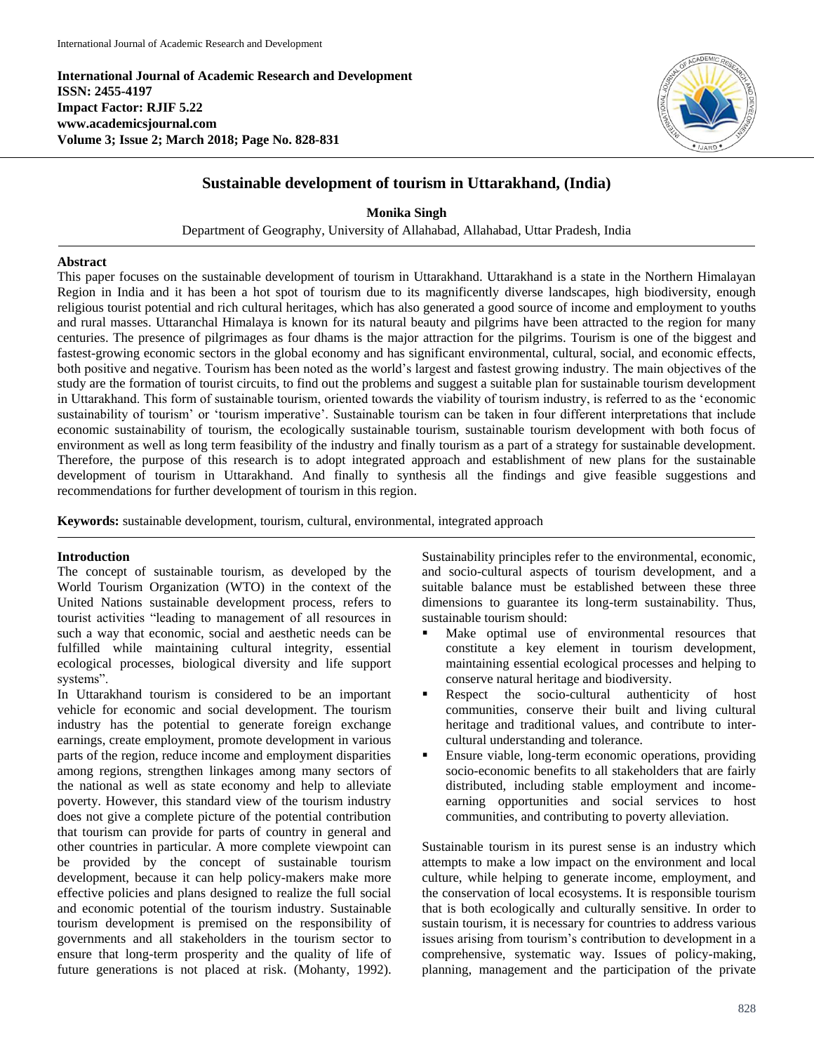**International Journal of Academic Research and Development ISSN: 2455-4197 Impact Factor: RJIF 5.22 www.academicsjournal.com Volume 3; Issue 2; March 2018; Page No. 828-831**



# **Sustainable development of tourism in Uttarakhand, (India)**

**Monika Singh** Department of Geography, University of Allahabad, Allahabad, Uttar Pradesh, India

# **Abstract**

This paper focuses on the sustainable development of tourism in Uttarakhand. Uttarakhand is a state in the Northern Himalayan Region in India and it has been a hot spot of tourism due to its magnificently diverse landscapes, high biodiversity, enough religious tourist potential and rich cultural heritages, which has also generated a good source of income and employment to youths and rural masses. Uttaranchal Himalaya is known for its natural beauty and pilgrims have been attracted to the region for many centuries. The presence of pilgrimages as four dhams is the major attraction for the pilgrims. Tourism is one of the biggest and fastest-growing economic sectors in the global economy and has significant environmental, cultural, social, and economic effects, both positive and negative. Tourism has been noted as the world's largest and fastest growing industry. The main objectives of the study are the formation of tourist circuits, to find out the problems and suggest a suitable plan for sustainable tourism development in Uttarakhand. This form of sustainable tourism, oriented towards the viability of tourism industry, is referred to as the 'economic sustainability of tourism' or 'tourism imperative'. Sustainable tourism can be taken in four different interpretations that include economic sustainability of tourism, the ecologically sustainable tourism, sustainable tourism development with both focus of environment as well as long term feasibility of the industry and finally tourism as a part of a strategy for sustainable development. Therefore, the purpose of this research is to adopt integrated approach and establishment of new plans for the sustainable development of tourism in Uttarakhand. And finally to synthesis all the findings and give feasible suggestions and recommendations for further development of tourism in this region.

**Keywords:** sustainable development, tourism, cultural, environmental, integrated approach

# **Introduction**

The concept of sustainable tourism, as developed by the World Tourism Organization (WTO) in the context of the United Nations sustainable development process, refers to tourist activities "leading to management of all resources in such a way that economic, social and aesthetic needs can be fulfilled while maintaining cultural integrity, essential ecological processes, biological diversity and life support systems".

In Uttarakhand tourism is considered to be an important vehicle for economic and social development. The tourism industry has the potential to generate foreign exchange earnings, create employment, promote development in various parts of the region, reduce income and employment disparities among regions, strengthen linkages among many sectors of the national as well as state economy and help to alleviate poverty. However, this standard view of the tourism industry does not give a complete picture of the potential contribution that tourism can provide for parts of country in general and other countries in particular. A more complete viewpoint can be provided by the concept of sustainable tourism development, because it can help policy-makers make more effective policies and plans designed to realize the full social and economic potential of the tourism industry. Sustainable tourism development is premised on the responsibility of governments and all stakeholders in the tourism sector to ensure that long-term prosperity and the quality of life of future generations is not placed at risk. (Mohanty, 1992).

Sustainability principles refer to the environmental, economic, and socio-cultural aspects of tourism development, and a suitable balance must be established between these three dimensions to guarantee its long-term sustainability. Thus, sustainable tourism should:

- Make optimal use of environmental resources that constitute a key element in tourism development, maintaining essential ecological processes and helping to conserve natural heritage and biodiversity.
- Respect the socio-cultural authenticity of host communities, conserve their built and living cultural heritage and traditional values, and contribute to intercultural understanding and tolerance.
- Ensure viable, long-term economic operations, providing socio-economic benefits to all stakeholders that are fairly distributed, including stable employment and incomeearning opportunities and social services to host communities, and contributing to poverty alleviation.

Sustainable tourism in its purest sense is an industry which attempts to make a low impact on the environment and local culture, while helping to generate income, employment, and the conservation of local ecosystems. It is responsible tourism that is both ecologically and culturally sensitive. In order to sustain tourism, it is necessary for countries to address various issues arising from tourism's contribution to development in a comprehensive, systematic way. Issues of policy-making, planning, management and the participation of the private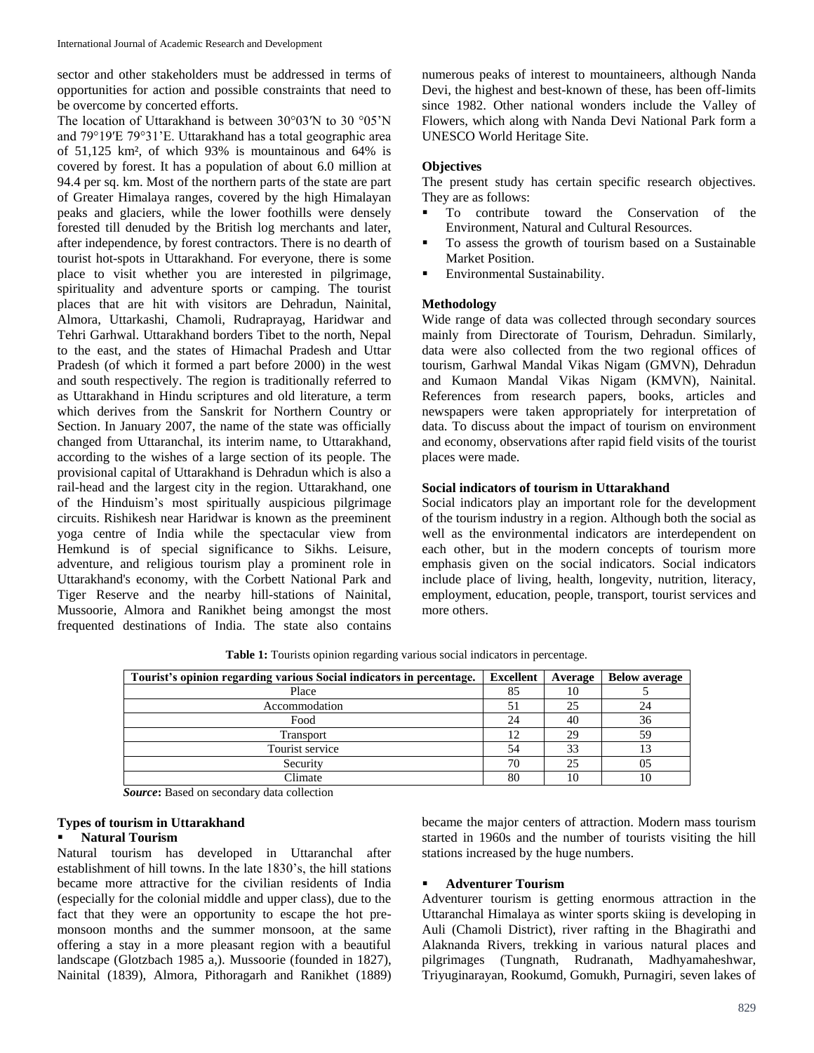sector and other stakeholders must be addressed in terms of opportunities for action and possible constraints that need to be overcome by concerted efforts.

The location of Uttarakhand is between 30°03′N to 30 °05'N and 79°19′E 79°31'E. Uttarakhand has a total geographic area of 51,125 km², of which 93% is mountainous and 64% is covered by forest. It has a population of about 6.0 million at 94.4 per sq. km. Most of the northern parts of the state are part of Greater Himalaya ranges, covered by the high Himalayan peaks and glaciers, while the lower foothills were densely forested till denuded by the British log merchants and later, after independence, by forest contractors. There is no dearth of tourist hot-spots in Uttarakhand. For everyone, there is some place to visit whether you are interested in pilgrimage, spirituality and adventure sports or camping. The tourist places that are hit with visitors are Dehradun, Nainital, Almora, Uttarkashi, Chamoli, Rudraprayag, Haridwar and Tehri Garhwal. Uttarakhand borders Tibet to the north, Nepal to the east, and the states of Himachal Pradesh and Uttar Pradesh (of which it formed a part before 2000) in the west and south respectively. The region is traditionally referred to as Uttarakhand in Hindu scriptures and old literature, a term which derives from the Sanskrit for Northern Country or Section. In January 2007, the name of the state was officially changed from Uttaranchal, its interim name, to Uttarakhand, according to the wishes of a large section of its people. The provisional capital of Uttarakhand is Dehradun which is also a rail-head and the largest city in the region. Uttarakhand, one of the Hinduism's most spiritually auspicious pilgrimage circuits. Rishikesh near Haridwar is known as the preeminent yoga centre of India while the spectacular view from Hemkund is of special significance to Sikhs. Leisure, adventure, and religious tourism play a prominent role in Uttarakhand's economy, with the Corbett National Park and Tiger Reserve and the nearby hill-stations of Nainital, Mussoorie, Almora and Ranikhet being amongst the most frequented destinations of India. The state also contains

numerous peaks of interest to mountaineers, although Nanda Devi, the highest and best-known of these, has been off-limits since 1982. Other national wonders include the Valley of Flowers, which along with Nanda Devi National Park form a UNESCO World Heritage Site.

#### **Objectives**

The present study has certain specific research objectives. They are as follows:

- To contribute toward the Conservation of the Environment, Natural and Cultural Resources.
- To assess the growth of tourism based on a Sustainable Market Position.
- Environmental Sustainability.

#### **Methodology**

Wide range of data was collected through secondary sources mainly from Directorate of Tourism, Dehradun. Similarly, data were also collected from the two regional offices of tourism, Garhwal Mandal Vikas Nigam (GMVN), Dehradun and Kumaon Mandal Vikas Nigam (KMVN), Nainital. References from research papers, books, articles and newspapers were taken appropriately for interpretation of data. To discuss about the impact of tourism on environment and economy, observations after rapid field visits of the tourist places were made.

### **Social indicators of tourism in Uttarakhand**

Social indicators play an important role for the development of the tourism industry in a region. Although both the social as well as the environmental indicators are interdependent on each other, but in the modern concepts of tourism more emphasis given on the social indicators. Social indicators include place of living, health, longevity, nutrition, literacy, employment, education, people, transport, tourist services and more others.

| Tourist's opinion regarding various Social indicators in percentage. | <b>Excellent</b> | Average | <b>Below average</b> |
|----------------------------------------------------------------------|------------------|---------|----------------------|
| Place                                                                | 85               | 10      |                      |
| Accommodation                                                        | 51               | 25      | 24                   |
| Food                                                                 | 24               | 40      | 36                   |
| Transport                                                            | 12               | 29      | 59                   |
| Tourist service                                                      | 54               | 33      |                      |
| Security                                                             | 70               | 25      | 05                   |
| Climate                                                              | 80               | 10      | 10                   |

**Table 1:** Tourists opinion regarding various social indicators in percentage.

*Source***:** Based on secondary data collection

# **Types of tourism in Uttarakhand**

#### **Natural Tourism**

Natural tourism has developed in Uttaranchal after establishment of hill towns. In the late 1830's, the hill stations became more attractive for the civilian residents of India (especially for the colonial middle and upper class), due to the fact that they were an opportunity to escape the hot premonsoon months and the summer monsoon, at the same offering a stay in a more pleasant region with a beautiful landscape (Glotzbach 1985 a,). Mussoorie (founded in 1827), Nainital (1839), Almora, Pithoragarh and Ranikhet (1889) became the major centers of attraction. Modern mass tourism started in 1960s and the number of tourists visiting the hill stations increased by the huge numbers.

#### **Adventurer Tourism**

Adventurer tourism is getting enormous attraction in the Uttaranchal Himalaya as winter sports skiing is developing in Auli (Chamoli District), river rafting in the Bhagirathi and Alaknanda Rivers, trekking in various natural places and pilgrimages (Tungnath, Rudranath, Madhyamaheshwar, Triyuginarayan, Rookumd, Gomukh, Purnagiri, seven lakes of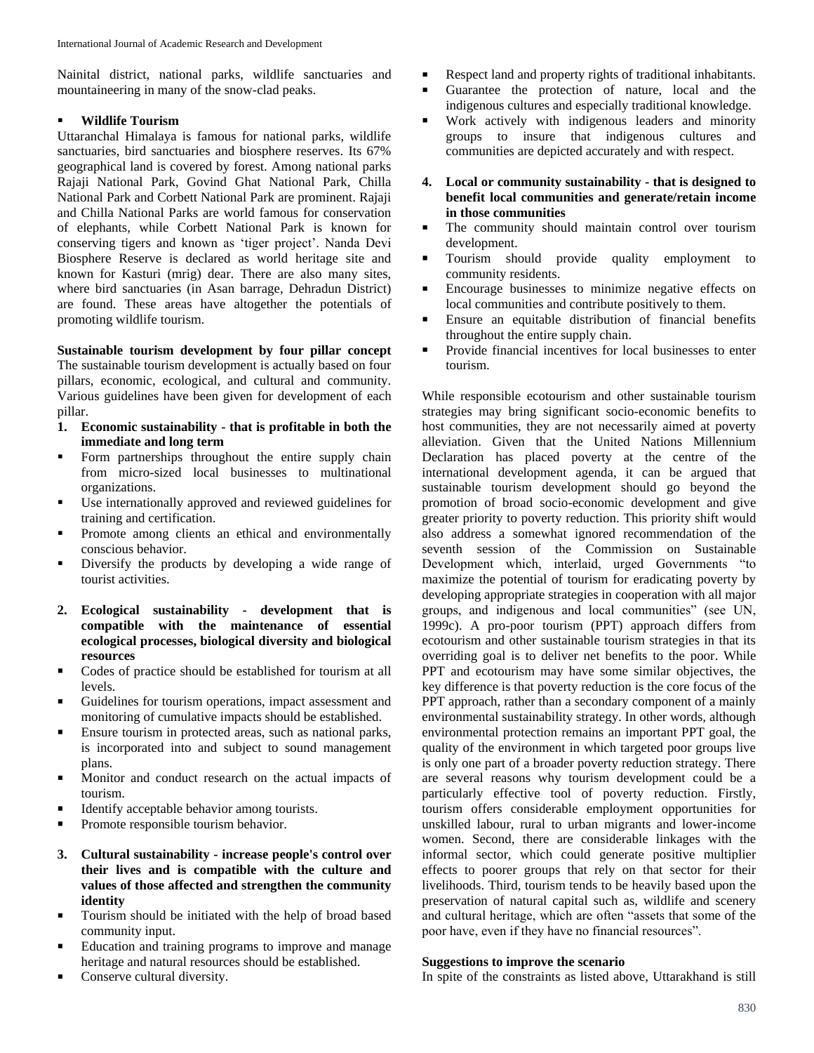Nainital district, national parks, wildlife sanctuaries and mountaineering in many of the snow-clad peaks.

# **Wildlife Tourism**

Uttaranchal Himalaya is famous for national parks, wildlife sanctuaries, bird sanctuaries and biosphere reserves. Its 67% geographical land is covered by forest. Among national parks Rajaji National Park, Govind Ghat National Park, Chilla National Park and Corbett National Park are prominent. Rajaji and Chilla National Parks are world famous for conservation of elephants, while Corbett National Park is known for conserving tigers and known as 'tiger project'. Nanda Devi Biosphere Reserve is declared as world heritage site and known for Kasturi (mrig) dear. There are also many sites, where bird sanctuaries (in Asan barrage, Dehradun District) are found. These areas have altogether the potentials of promoting wildlife tourism.

**Sustainable tourism development by four pillar concept** The sustainable tourism development is actually based on four pillars, economic, ecological, and cultural and community. Various guidelines have been given for development of each pillar.

- **1. Economic sustainability - that is profitable in both the immediate and long term**
- Form partnerships throughout the entire supply chain from micro-sized local businesses to multinational organizations.
- Use internationally approved and reviewed guidelines for training and certification.
- **Promote among clients an ethical and environmentally** conscious behavior.
- Diversify the products by developing a wide range of tourist activities.
- **2. Ecological sustainability - development that is compatible with the maintenance of essential ecological processes, biological diversity and biological resources**
- Codes of practice should be established for tourism at all levels.
- Guidelines for tourism operations, impact assessment and monitoring of cumulative impacts should be established.
- **Ensure tourism in protected areas, such as national parks,** is incorporated into and subject to sound management plans.
- **Monitor and conduct research on the actual impacts of** tourism.
- Identify acceptable behavior among tourists.
- **Promote responsible tourism behavior.**
- **3. Cultural sustainability - increase people's control over their lives and is compatible with the culture and values of those affected and strengthen the community identity**
- Tourism should be initiated with the help of broad based community input.
- Education and training programs to improve and manage heritage and natural resources should be established.
- Conserve cultural diversity.
- Respect land and property rights of traditional inhabitants.
- Guarantee the protection of nature, local and the indigenous cultures and especially traditional knowledge.
- Work actively with indigenous leaders and minority groups to insure that indigenous cultures and communities are depicted accurately and with respect.
- **4. Local or community sustainability - that is designed to benefit local communities and generate/retain income in those communities**
- The community should maintain control over tourism development.
- Tourism should provide quality employment to community residents.
- **Encourage businesses to minimize negative effects on** local communities and contribute positively to them.
- Ensure an equitable distribution of financial benefits throughout the entire supply chain.
- Provide financial incentives for local businesses to enter tourism.

While responsible ecotourism and other sustainable tourism strategies may bring significant socio-economic benefits to host communities, they are not necessarily aimed at poverty alleviation. Given that the United Nations Millennium Declaration has placed poverty at the centre of the international development agenda, it can be argued that sustainable tourism development should go beyond the promotion of broad socio-economic development and give greater priority to poverty reduction. This priority shift would also address a somewhat ignored recommendation of the seventh session of the Commission on Sustainable Development which, interlaid, urged Governments "to maximize the potential of tourism for eradicating poverty by developing appropriate strategies in cooperation with all major groups, and indigenous and local communities" (see UN, 1999c). A pro-poor tourism (PPT) approach differs from ecotourism and other sustainable tourism strategies in that its overriding goal is to deliver net benefits to the poor. While PPT and ecotourism may have some similar objectives, the key difference is that poverty reduction is the core focus of the PPT approach, rather than a secondary component of a mainly environmental sustainability strategy. In other words, although environmental protection remains an important PPT goal, the quality of the environment in which targeted poor groups live is only one part of a broader poverty reduction strategy. There are several reasons why tourism development could be a particularly effective tool of poverty reduction. Firstly, tourism offers considerable employment opportunities for unskilled labour, rural to urban migrants and lower-income women. Second, there are considerable linkages with the informal sector, which could generate positive multiplier effects to poorer groups that rely on that sector for their livelihoods. Third, tourism tends to be heavily based upon the preservation of natural capital such as, wildlife and scenery and cultural heritage, which are often "assets that some of the poor have, even if they have no financial resources".

# **Suggestions to improve the scenario**

In spite of the constraints as listed above, Uttarakhand is still